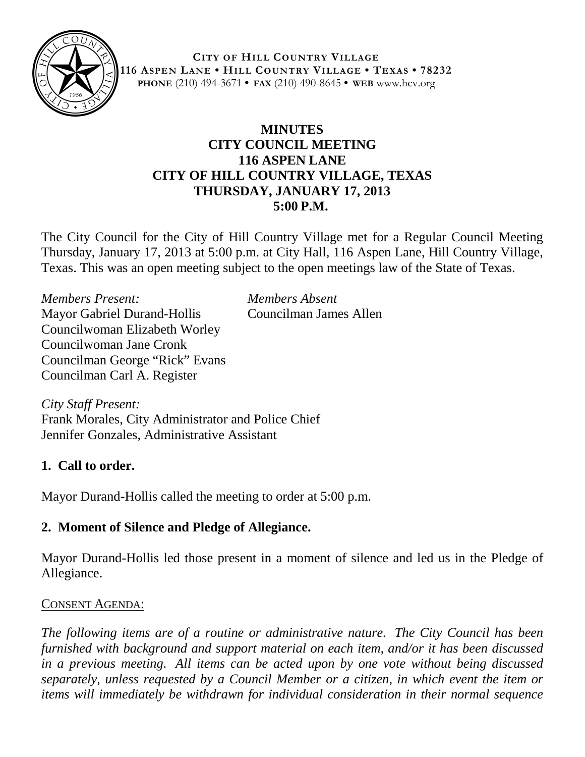

**CITY OF HILL COUNTRY VILLAGE 116 ASPEN LANE • HILL COUNTRY VILLAGE • TEXAS • 78232 PHONE** (210) 494-3671 **• FAX** (210) 490-8645 **• WEB** www.hcv.org

## **MINUTES CITY COUNCIL MEETING 116 ASPEN LANE CITY OF HILL COUNTRY VILLAGE, TEXAS THURSDAY, JANUARY 17, 2013 5:00 P.M.**

The City Council for the City of Hill Country Village met for a Regular Council Meeting Thursday, January 17, 2013 at 5:00 p.m. at City Hall, 116 Aspen Lane, Hill Country Village, Texas. This was an open meeting subject to the open meetings law of the State of Texas.

*Members Present: Members Absent* Mayor Gabriel Durand-Hollis Councilman James Allen Councilwoman Elizabeth Worley Councilwoman Jane Cronk Councilman George "Rick" Evans Councilman Carl A. Register

*City Staff Present:* Frank Morales, City Administrator and Police Chief Jennifer Gonzales, Administrative Assistant

## **1. Call to order.**

Mayor Durand-Hollis called the meeting to order at 5:00 p.m.

# **2. Moment of Silence and Pledge of Allegiance.**

Mayor Durand-Hollis led those present in a moment of silence and led us in the Pledge of Allegiance.

## CONSENT AGENDA:

*The following items are of a routine or administrative nature. The City Council has been furnished with background and support material on each item, and/or it has been discussed in a previous meeting. All items can be acted upon by one vote without being discussed separately, unless requested by a Council Member or a citizen, in which event the item or items will immediately be withdrawn for individual consideration in their normal sequence*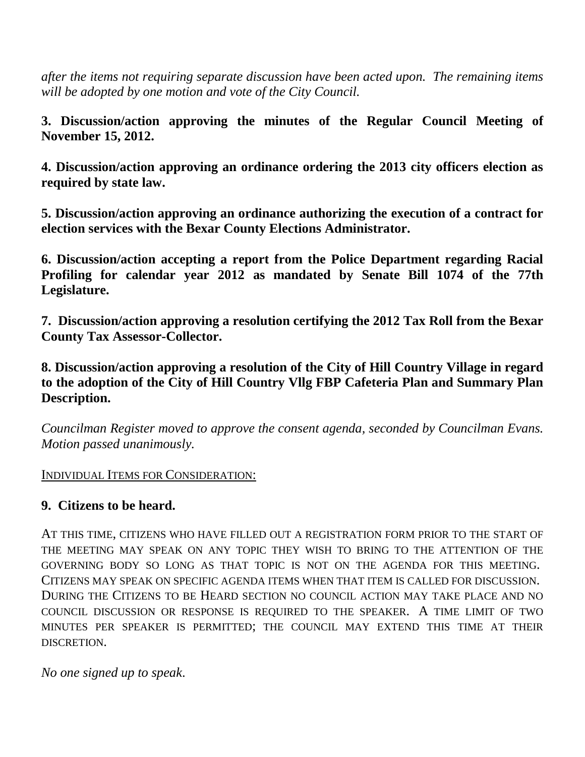*after the items not requiring separate discussion have been acted upon. The remaining items will be adopted by one motion and vote of the City Council.*

**3. Discussion/action approving the minutes of the Regular Council Meeting of November 15, 2012.**

**4. Discussion/action approving an ordinance ordering the 2013 city officers election as required by state law.**

**5. Discussion/action approving an ordinance authorizing the execution of a contract for election services with the Bexar County Elections Administrator.** 

**6. Discussion/action accepting a report from the Police Department regarding Racial Profiling for calendar year 2012 as mandated by Senate Bill 1074 of the 77th Legislature.**

**7. Discussion/action approving a resolution certifying the 2012 Tax Roll from the Bexar County Tax Assessor-Collector.**

**8. Discussion/action approving a resolution of the City of Hill Country Village in regard to the adoption of the City of Hill Country Vllg FBP Cafeteria Plan and Summary Plan Description.**

*Councilman Register moved to approve the consent agenda, seconded by Councilman Evans. Motion passed unanimously.*

INDIVIDUAL ITEMS FOR CONSIDERATION:

## **9. Citizens to be heard.**

AT THIS TIME, CITIZENS WHO HAVE FILLED OUT A REGISTRATION FORM PRIOR TO THE START OF THE MEETING MAY SPEAK ON ANY TOPIC THEY WISH TO BRING TO THE ATTENTION OF THE GOVERNING BODY SO LONG AS THAT TOPIC IS NOT ON THE AGENDA FOR THIS MEETING. CITIZENS MAY SPEAK ON SPECIFIC AGENDA ITEMS WHEN THAT ITEM IS CALLED FOR DISCUSSION. DURING THE CITIZENS TO BE HEARD SECTION NO COUNCIL ACTION MAY TAKE PLACE AND NO COUNCIL DISCUSSION OR RESPONSE IS REQUIRED TO THE SPEAKER. A TIME LIMIT OF TWO MINUTES PER SPEAKER IS PERMITTED; THE COUNCIL MAY EXTEND THIS TIME AT THEIR DISCRETION.

*No one signed up to speak*.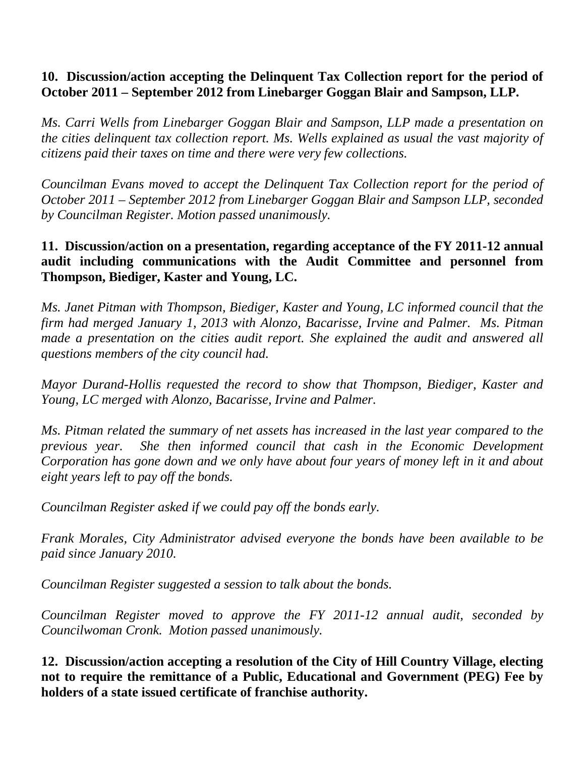### **10. Discussion/action accepting the Delinquent Tax Collection report for the period of October 2011 – September 2012 from Linebarger Goggan Blair and Sampson, LLP.**

*Ms. Carri Wells from Linebarger Goggan Blair and Sampson, LLP made a presentation on the cities delinquent tax collection report. Ms. Wells explained as usual the vast majority of citizens paid their taxes on time and there were very few collections.*

*Councilman Evans moved to accept the Delinquent Tax Collection report for the period of October 2011 – September 2012 from Linebarger Goggan Blair and Sampson LLP, seconded by Councilman Register. Motion passed unanimously.*

### **11. Discussion/action on a presentation, regarding acceptance of the FY 2011-12 annual audit including communications with the Audit Committee and personnel from Thompson, Biediger, Kaster and Young, LC.**

*Ms. Janet Pitman with Thompson, Biediger, Kaster and Young, LC informed council that the firm had merged January 1, 2013 with Alonzo, Bacarisse, Irvine and Palmer. Ms. Pitman made a presentation on the cities audit report. She explained the audit and answered all questions members of the city council had.* 

*Mayor Durand-Hollis requested the record to show that Thompson, Biediger, Kaster and Young, LC merged with Alonzo, Bacarisse, Irvine and Palmer.*

*Ms. Pitman related the summary of net assets has increased in the last year compared to the previous year. She then informed council that cash in the Economic Development Corporation has gone down and we only have about four years of money left in it and about eight years left to pay off the bonds.*

*Councilman Register asked if we could pay off the bonds early.* 

*Frank Morales, City Administrator advised everyone the bonds have been available to be paid since January 2010.* 

*Councilman Register suggested a session to talk about the bonds.*

*Councilman Register moved to approve the FY 2011-12 annual audit, seconded by Councilwoman Cronk. Motion passed unanimously.*

**12. Discussion/action accepting a resolution of the City of Hill Country Village, electing not to require the remittance of a Public, Educational and Government (PEG) Fee by holders of a state issued certificate of franchise authority.**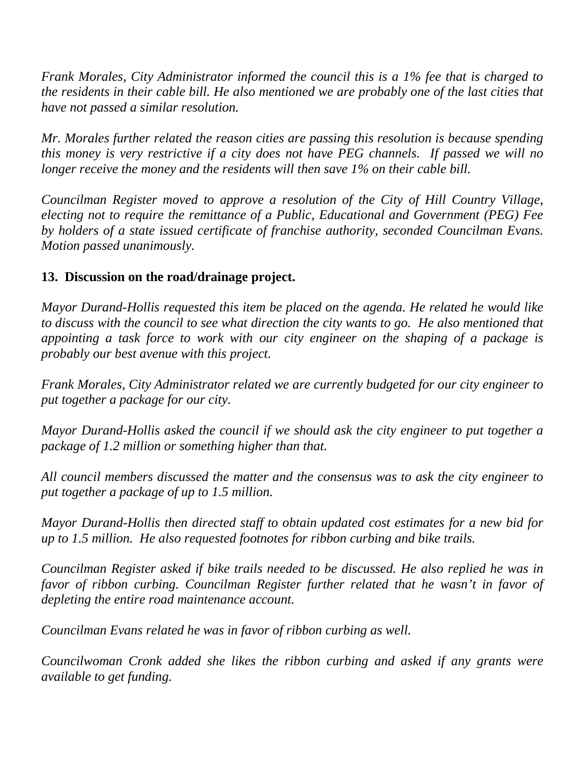*Frank Morales, City Administrator informed the council this is a 1% fee that is charged to the residents in their cable bill. He also mentioned we are probably one of the last cities that have not passed a similar resolution.* 

*Mr. Morales further related the reason cities are passing this resolution is because spending this money is very restrictive if a city does not have PEG channels. If passed we will no longer receive the money and the residents will then save 1% on their cable bill.*

*Councilman Register moved to approve a resolution of the City of Hill Country Village, electing not to require the remittance of a Public, Educational and Government (PEG) Fee by holders of a state issued certificate of franchise authority, seconded Councilman Evans. Motion passed unanimously.*

## **13. Discussion on the road/drainage project.**

*Mayor Durand-Hollis requested this item be placed on the agenda. He related he would like to discuss with the council to see what direction the city wants to go. He also mentioned that appointing a task force to work with our city engineer on the shaping of a package is probably our best avenue with this project.*

*Frank Morales, City Administrator related we are currently budgeted for our city engineer to put together a package for our city.* 

*Mayor Durand-Hollis asked the council if we should ask the city engineer to put together a package of 1.2 million or something higher than that.*

*All council members discussed the matter and the consensus was to ask the city engineer to put together a package of up to 1.5 million.*

*Mayor Durand-Hollis then directed staff to obtain updated cost estimates for a new bid for up to 1.5 million. He also requested footnotes for ribbon curbing and bike trails.*

*Councilman Register asked if bike trails needed to be discussed. He also replied he was in favor of ribbon curbing. Councilman Register further related that he wasn't in favor of depleting the entire road maintenance account.*

*Councilman Evans related he was in favor of ribbon curbing as well.*

*Councilwoman Cronk added she likes the ribbon curbing and asked if any grants were available to get funding.*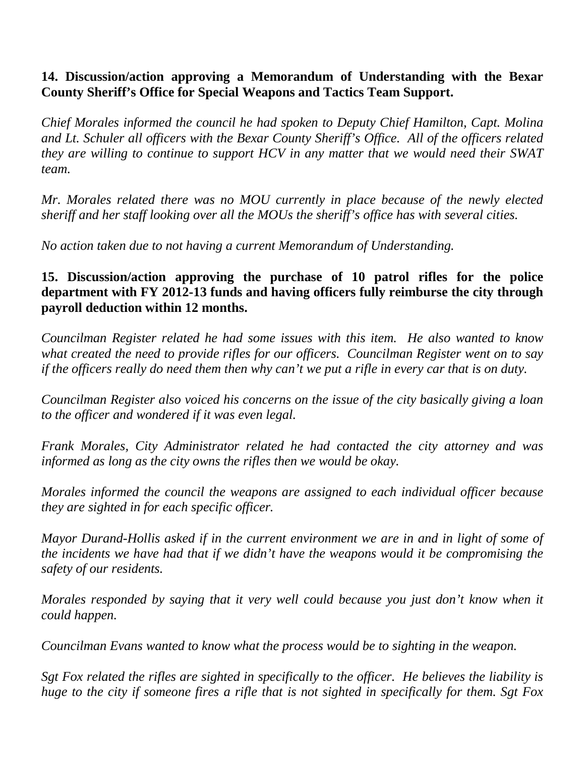### **14. Discussion/action approving a Memorandum of Understanding with the Bexar County Sheriff's Office for Special Weapons and Tactics Team Support.**

*Chief Morales informed the council he had spoken to Deputy Chief Hamilton, Capt. Molina and Lt. Schuler all officers with the Bexar County Sheriff's Office. All of the officers related they are willing to continue to support HCV in any matter that we would need their SWAT team.*

*Mr. Morales related there was no MOU currently in place because of the newly elected sheriff and her staff looking over all the MOUs the sheriff's office has with several cities.*

*No action taken due to not having a current Memorandum of Understanding.*

## **15. Discussion/action approving the purchase of 10 patrol rifles for the police department with FY 2012-13 funds and having officers fully reimburse the city through payroll deduction within 12 months.**

*Councilman Register related he had some issues with this item. He also wanted to know what created the need to provide rifles for our officers. Councilman Register went on to say if the officers really do need them then why can't we put a rifle in every car that is on duty.*

*Councilman Register also voiced his concerns on the issue of the city basically giving a loan to the officer and wondered if it was even legal.*

*Frank Morales, City Administrator related he had contacted the city attorney and was informed as long as the city owns the rifles then we would be okay.*

*Morales informed the council the weapons are assigned to each individual officer because they are sighted in for each specific officer.* 

*Mayor Durand-Hollis asked if in the current environment we are in and in light of some of the incidents we have had that if we didn't have the weapons would it be compromising the safety of our residents.*

*Morales responded by saying that it very well could because you just don't know when it could happen.*

*Councilman Evans wanted to know what the process would be to sighting in the weapon.* 

*Sgt Fox related the rifles are sighted in specifically to the officer. He believes the liability is huge to the city if someone fires a rifle that is not sighted in specifically for them. Sgt Fox*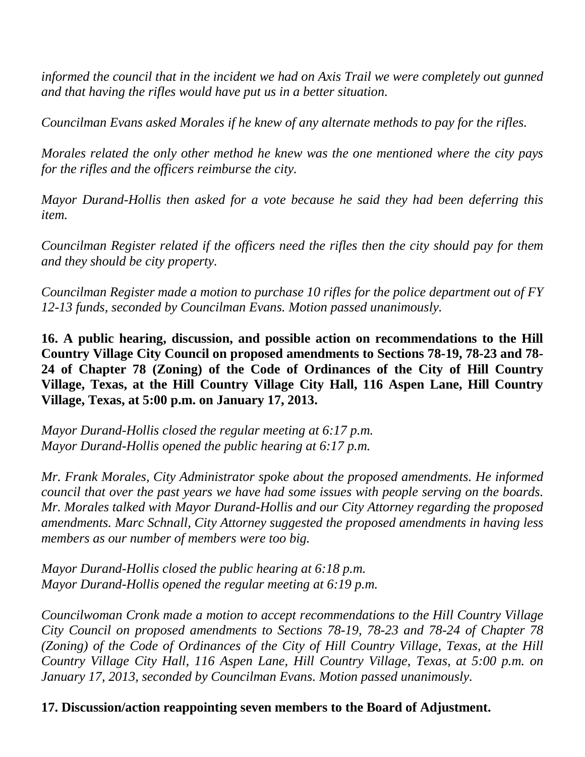*informed the council that in the incident we had on Axis Trail we were completely out gunned and that having the rifles would have put us in a better situation.*

*Councilman Evans asked Morales if he knew of any alternate methods to pay for the rifles.*

*Morales related the only other method he knew was the one mentioned where the city pays for the rifles and the officers reimburse the city.*

*Mayor Durand-Hollis then asked for a vote because he said they had been deferring this item.*

*Councilman Register related if the officers need the rifles then the city should pay for them and they should be city property.*

*Councilman Register made a motion to purchase 10 rifles for the police department out of FY 12-13 funds, seconded by Councilman Evans. Motion passed unanimously.*

**16. A public hearing, discussion, and possible action on recommendations to the Hill Country Village City Council on proposed amendments to Sections 78-19, 78-23 and 78- 24 of Chapter 78 (Zoning) of the Code of Ordinances of the City of Hill Country Village, Texas, at the Hill Country Village City Hall, 116 Aspen Lane, Hill Country Village, Texas, at 5:00 p.m. on January 17, 2013.**

*Mayor Durand-Hollis closed the regular meeting at 6:17 p.m. Mayor Durand-Hollis opened the public hearing at 6:17 p.m.*

*Mr. Frank Morales, City Administrator spoke about the proposed amendments. He informed council that over the past years we have had some issues with people serving on the boards. Mr. Morales talked with Mayor Durand-Hollis and our City Attorney regarding the proposed amendments. Marc Schnall, City Attorney suggested the proposed amendments in having less members as our number of members were too big.* 

*Mayor Durand-Hollis closed the public hearing at 6:18 p.m. Mayor Durand-Hollis opened the regular meeting at 6:19 p.m.*

*Councilwoman Cronk made a motion to accept recommendations to the Hill Country Village City Council on proposed amendments to Sections 78-19, 78-23 and 78-24 of Chapter 78 (Zoning) of the Code of Ordinances of the City of Hill Country Village, Texas, at the Hill Country Village City Hall, 116 Aspen Lane, Hill Country Village, Texas, at 5:00 p.m. on January 17, 2013, seconded by Councilman Evans. Motion passed unanimously.*

**17. Discussion/action reappointing seven members to the Board of Adjustment.**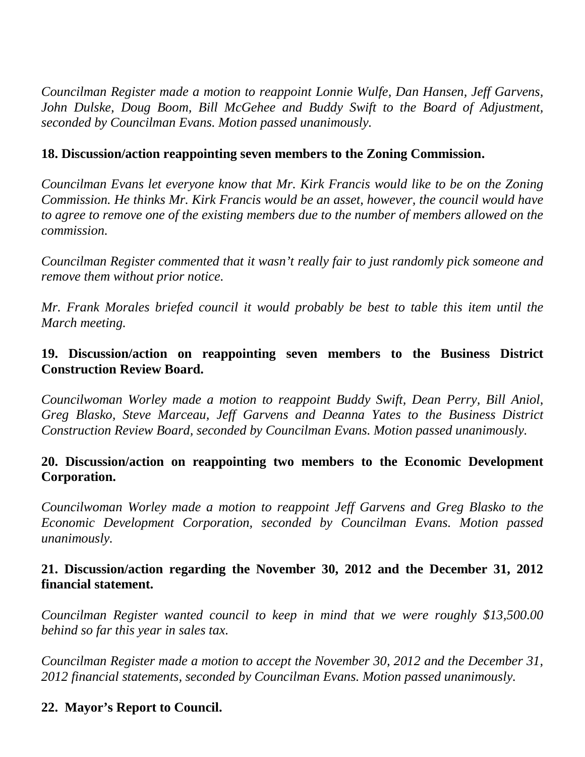*Councilman Register made a motion to reappoint Lonnie Wulfe, Dan Hansen, Jeff Garvens, John Dulske, Doug Boom, Bill McGehee and Buddy Swift to the Board of Adjustment, seconded by Councilman Evans. Motion passed unanimously.*

#### **18. Discussion/action reappointing seven members to the Zoning Commission.**

*Councilman Evans let everyone know that Mr. Kirk Francis would like to be on the Zoning Commission. He thinks Mr. Kirk Francis would be an asset, however, the council would have to agree to remove one of the existing members due to the number of members allowed on the commission.*

*Councilman Register commented that it wasn't really fair to just randomly pick someone and remove them without prior notice.*

*Mr. Frank Morales briefed council it would probably be best to table this item until the March meeting.*

#### **19. Discussion/action on reappointing seven members to the Business District Construction Review Board.**

*Councilwoman Worley made a motion to reappoint Buddy Swift, Dean Perry, Bill Aniol, Greg Blasko, Steve Marceau, Jeff Garvens and Deanna Yates to the Business District Construction Review Board, seconded by Councilman Evans. Motion passed unanimously.*

#### **20. Discussion/action on reappointing two members to the Economic Development Corporation.**

*Councilwoman Worley made a motion to reappoint Jeff Garvens and Greg Blasko to the Economic Development Corporation, seconded by Councilman Evans. Motion passed unanimously.*

#### **21. Discussion/action regarding the November 30, 2012 and the December 31, 2012 financial statement.**

*Councilman Register wanted council to keep in mind that we were roughly \$13,500.00 behind so far this year in sales tax.* 

*Councilman Register made a motion to accept the November 30, 2012 and the December 31, 2012 financial statements, seconded by Councilman Evans. Motion passed unanimously.*

#### **22. Mayor's Report to Council.**